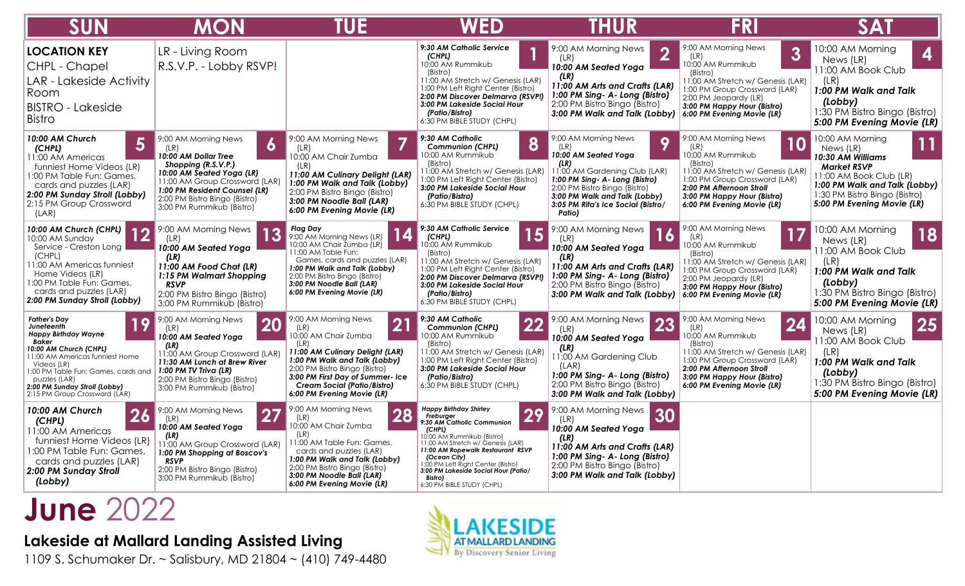| <b>SUN</b>                                                                                                                                                                                                                                                                      | <b>MON</b>                                                                                                                                                                                                                                     | TUE                                                                                                                                                                                                                                                                                                | WED                                                                                                                                                                                                                                                                                                                                     | <b>THUR</b>                                                                                                                                                                                                                                            | <b>FRI</b>                                                                                                                                                                                                                                | SAT                                                                                                                                                                                                       |
|---------------------------------------------------------------------------------------------------------------------------------------------------------------------------------------------------------------------------------------------------------------------------------|------------------------------------------------------------------------------------------------------------------------------------------------------------------------------------------------------------------------------------------------|----------------------------------------------------------------------------------------------------------------------------------------------------------------------------------------------------------------------------------------------------------------------------------------------------|-----------------------------------------------------------------------------------------------------------------------------------------------------------------------------------------------------------------------------------------------------------------------------------------------------------------------------------------|--------------------------------------------------------------------------------------------------------------------------------------------------------------------------------------------------------------------------------------------------------|-------------------------------------------------------------------------------------------------------------------------------------------------------------------------------------------------------------------------------------------|-----------------------------------------------------------------------------------------------------------------------------------------------------------------------------------------------------------|
| <b>LOCATION KEY</b><br>CHPL - Chapel<br>LAR - Lakeside Activity<br>Room<br><b>BISTRO - Lakeside</b><br><b>Bistro</b>                                                                                                                                                            | LR - Living Room<br>R.S.V.P. - Lobby RSVP!                                                                                                                                                                                                     |                                                                                                                                                                                                                                                                                                    | 9:30 AM Catholic Service<br>(CHPL)<br>10:00 AM Rummikub<br>(Bistro)<br>11:00 AM Stretch w/ Genesis (LAR)<br>1:00 PM Left Right Center (Bistro)<br>2:00 PM Discover Delmarva (RSVP!)<br>3:00 PM Lakeside Social Hour<br>(Patio/Bistro)<br>6:30 PM BIBLE STUDY (CHPL)                                                                     | 9:00 AM Morning News<br>(LR)<br>10:00 AM Seated Yoga<br>(LR)<br>11:00 AM Arts and Crafts (LAR)<br>1:00 PM Sing- A- Long (Bistro)<br>2:00 PM Bistro Bingo (Bistro)<br>3:00 PM Walk and Talk (Lobby)                                                     | 9:00 AM Morning News<br>3<br>(LR)<br>10:00 AM Rummikub<br>(Bistro)<br>1:00 AM Stretch w/ Genesis (LAR)<br>1:00 PM Group Crossword (LAR)<br>2:00 PM Jeopardy (LR)<br>3:00 PM Happy Hour (Bistro)<br>6:00 PM Evening Movie (LR)             | 10:00 AM Morning<br>4<br>News (LR)<br>11:00 AM Book Club<br>(LR)<br>1:00 PM Walk and Talk<br>(Lobby)<br>1:30 PM Bistro Bingo (Bistro)<br>5:00 PM Evening Movie (LR)                                       |
| 10:00 AM Church<br>5<br>(CHPL)<br>11:00 AM Americas<br>funniest Home Videos (LR)<br>1:00 PM Table Fun: Games,<br>cards and puzzles (LAR)<br>2:00 PM Sunday Stroll (Lobby)<br>2:15 PM Group Crossword<br>(LAR)                                                                   | 9:00 AM Morning News<br>6<br>(LR)<br>10:00 AM Dollar Tree<br>Shopping (R.S.V.P.)<br>10:00 AM Seated Yoga (LR)<br>11:00 AM Group Crossword (LAR)<br>1:00 PM Resident Counsel (LR)<br>2:00 PM Bistro Bingo (Bistro)<br>3:00 PM Rummikub (Bistro) | 9:00 AM Morning News<br>(LR)<br>10:00 AM Chair Zumba<br>(LR)<br>11:00 AM Culinary Delight (LAR)<br>1:00 PM Walk and Talk (Lobby)<br>2:00 PM Bistro Bingo (Bistro)<br>3:00 PM Noodle Ball (LAR)<br>6:00 PM Evening Movie (LR)                                                                       | 9:30 AM Catholic<br>8<br><b>Communion (CHPL)</b><br>0:00 AM Rummikub<br>(Bistro)<br>11:00 AM Stretch w/ Genesis (LAR)<br>1:00 PM Left Right Center (Bistro)<br>3:00 PM Lakeside Social Hour<br>(Patio/Bistro)<br>6:30 PM BIBLE STUDY (CHPL)                                                                                             | 9:00 AM Morning News<br>9<br>(LR)<br>10:00 AM Seated Yoga<br>(LR)<br>11:00 AM Gardening Club (LAR)<br>1:00 PM Sing- A- Long (Bistro)<br>2:00 PM Bistro Bingo (Bistro)<br>3:00 PM Walk and Talk (Lobby)<br>3:05 PM Rita's Ice Social (Bistro/<br>Patio) | 9:00 AM Morning News<br><b>10</b><br>(LR)<br>10:00 AM Rummikub<br>(Bistro)<br>11:00 AM Stretch w/ Genesis (LAR)<br>1:00 PM Group Crossword (LAR)<br>2:00 PM Afternoon Stroll<br>3:00 PM Happy Hour (Bistro)<br>6:00 PM Evening Movie (LR) | 10:00 AM Morning<br>11<br>News (LR)<br>10:30 AM Williams<br><b>Market RSVP</b><br>11:00 AM Book Club (LR)<br>1:00 PM Walk and Talk (Lobby)<br>1:30 PM Bistro Bingo (Bistro)<br>5:00 PM Evening Movie (LR) |
| 10:00 AM Church (CHPL)<br>10<br>10:00 AM Sunday<br>Service - Creston Long<br>(CHPL)<br>11:00 AM Americas funniest<br>Home Videos (LR)<br>1:00 PM Table Fun: Games,<br>cards and puzzles (LAR)<br>2:00 PM Sunday Stroll (Lobby)                                                  | 9:00 AM Morning News<br>(LR)<br>10:00 AM Seated Yoga<br>(LR)<br>11:00 AM Food Chat (LR)<br>1:15 PM Walmart Shopping<br><b>RSVP</b><br>2:00 PM Bistro Bingo (Bistro)<br>3:00 PM Rummikub (Bistro)                                               | <b>Flag Day</b><br>9:00 AM Morning News (LR)<br>10:00 AM Chair Zumba (LR)<br>11:00 AM Table Fun:<br>Games, cards and puzzles (LAR)<br>1:00 PM Walk and Talk (Lobby)<br>2:00 PM Bistro Bingo (Bistro)<br>3:00 PM Noodle Ball (LAR)<br>6:00 PM Evening Movie (LR)                                    | 9:30 AM Catholic Service<br>15<br>(CHPL)<br>0:00 AM Rummikub<br>(Bistro)<br>11:00 AM Stretch w/ Genesis (LAR)<br>1:00 PM Left Right Center (Bistro)<br>2:00 PM Discover Delmarva (RSVP!)<br>3:00 PM Lakeside Social Hour<br>(Patio/Bistro)<br>6:30 PM BIBLE STUDY (CHPL)                                                                | 9:00 AM Morning News<br>(LR)<br>10:00 AM Seated Yoga<br>(LR)<br>11:00 AM Arts and Crafts (LAR)<br>1:00 PM Sing- A- Long (Bistro)<br>2:00 PM Bistro Bingo (Bistro)<br>3:00 PM Walk and Talk (Lobby)                                                     | 9:00 AM Morning News<br>(LR)<br>10:00 AM Rummikub<br>(Bistro)<br>11:00 AM Stretch w/ Genesis (LAR)<br>1:00 PM Group Crossword (LAR)<br>2:00 PM Jeopardy (LR)<br>3:00 PM Happy Hour (Bistro)<br>6:00 PM Evening Movie (LR)                 | 10:00 AM Morning<br>18<br>News (LR)<br>11:00 AM Book Club<br>(LR)<br>1:00 PM Walk and Talk<br>(Lobby)<br>1:30 PM Bistro Bingo (Bistro)<br>5:00 PM Evening Movie (LR)                                      |
| <b>Father's Day</b><br>Juneteenth<br><b>Happy Birthday Wayne</b><br>Baker<br>10:00 AM Church (CHPL)<br>11:00 AM Americas funniest Home<br>Videos (LR)<br>1:00 PM Table Fun: Games, cards and<br>puzzles (LAR)<br>2:00 PM Sunday Stroll (Lobby)<br>2:15 PM Group Crossword (LAR) | 9:00 AM Morning News<br>20<br>10:00 AM Seated Yoga<br>(LR)<br>11:00 AM Group Crossword (LAR)<br>11:30 AM Lunch at Brew River<br>1:00 PM TV Triva (LR)<br>2:00 PM Bistro Bingo (Bistro)<br>3:00 PM Rummikub (Bistro)                            | 9:00 AM Morning News<br>$\mathbf{2}^{\prime}$<br>(LR)<br>10:00 AM Chair Zumba<br>(LR)<br>11:00 AM Culinary Delight (LAR)<br>1:00 PM Walk and Talk (Lobby)<br>2:00 PM Bistro Bingo (Bistro)<br>3:00 PM First Day of Summer- Ice<br><b>Cream Social (Patio/Bistro)</b><br>6:00 PM Evening Movie (LR) | 9:30 AM Catholic<br>22<br><b>Communion (CHPL)</b><br>10:00 AM Rummikub<br>(Bistro)<br>11:00 AM Stretch w/ Genesis (LAR)<br>1:00 PM Left Right Center (Bistro)<br>3:00 PM Lakeside Social Hour<br>(Patio/Bistro)<br>6:30 PM BIBLE STUDY (CHPL)                                                                                           | 9:00 AM Morning News<br>23<br>(LR)<br>10:00 AM Seated Yoga<br>(LR)<br>11:00 AM Gardening Club<br>(LAR)<br>1:00 PM Sing- A- Long (Bistro)<br>2:00 PM Bistro Bingo (Bistro)<br>3:00 PM Walk and Talk (Lobby)                                             | 9:00 AM Morning News<br>24<br>(LR)<br>10:00 AM Rummikub<br>(Bistro)<br>11:00 AM Stretch w/ Genesis (LAR)<br>1:00 PM Group Crossword (LAR)<br>2:00 PM Afternoon Stroll<br>3:00 PM Happy Hour (Bistro)<br>6:00 PM Evening Movie (LR)        | 10:00 AM Morning<br>25<br>News (LR)<br>11:00 AM Book Club<br>(LR)<br>1:00 PM Walk and Talk<br>(Lobby)<br>1:30 PM Bistro Bingo (Bistro)<br>5:00 PM Evening Movie (LR)                                      |
| 10:00 AM Church<br>26<br>(CHPL)<br>11:00 AM Americas<br>funniest Home Videos (LR)<br>1:00 PM Table Fun: Games,<br>cards and puzzles (LAR)<br>2:00 PM Sunday Stroll<br>(Lobby)                                                                                                   | 9:00 AM Morning News<br>27<br>(LR)<br>10:00 AM Seated Yoga<br>(LR)<br>11:00 AM Group Crossword (LAR)<br>1:00 PM Shopping at Boscov's<br><b>RSVP</b><br>2:00 PM Bistro Bingo (Bistro)<br>3:00 PM Rummikub (Bistro)                              | 9:00 AM Morning News<br>28<br>(LR)<br>10:00 AM Chair Zumba<br>(LR)<br>11:00 AM Table Fun: Games,<br>cards and puzzles (LAR)<br>1:00 PM Walk and Talk (Lobby)<br>2:00 PM Bistro Bingo (Bistro)<br>3:00 PM Noodle Ball (LAR)<br>6:00 PM Evening Movie (LR)                                           | <b>Happy Birthday Shirley</b><br>29<br>Freburger<br>9:30 AM Catholic Communion<br>(CHPL)<br>10:00 AM Rummikub (Bistro)<br>11:00 AM Stretch w/ Genesis (LAR)<br>11:00 AM Ropewalk Restaurant RSVP<br>(Ocean City)<br>1:00 PM Left Right Center (Bistro)<br>3:00 PM Lakeside Social Hour (Patio/<br>Bistro)<br>6:30 PM BIBLE STUDY (CHPL) | 9:00 AM Morning News<br>30<br>10:00 AM Seated Yoga<br>(LR)<br>11:00 AM Arts and Crafts (LAR)<br>1:00 PM Sing- A- Long (Bistro)<br>2:00 PM Bistro Bingo (Bistro)<br>3:00 PM Walk and Talk (Lobby)                                                       |                                                                                                                                                                                                                                           |                                                                                                                                                                                                           |

## **June** 2022

## **Lakeside at Mallard Landing Assisted Living**

1109 S. Schumaker Dr. ~ Salisbury, MD 21804 ~ (410) 749-4480